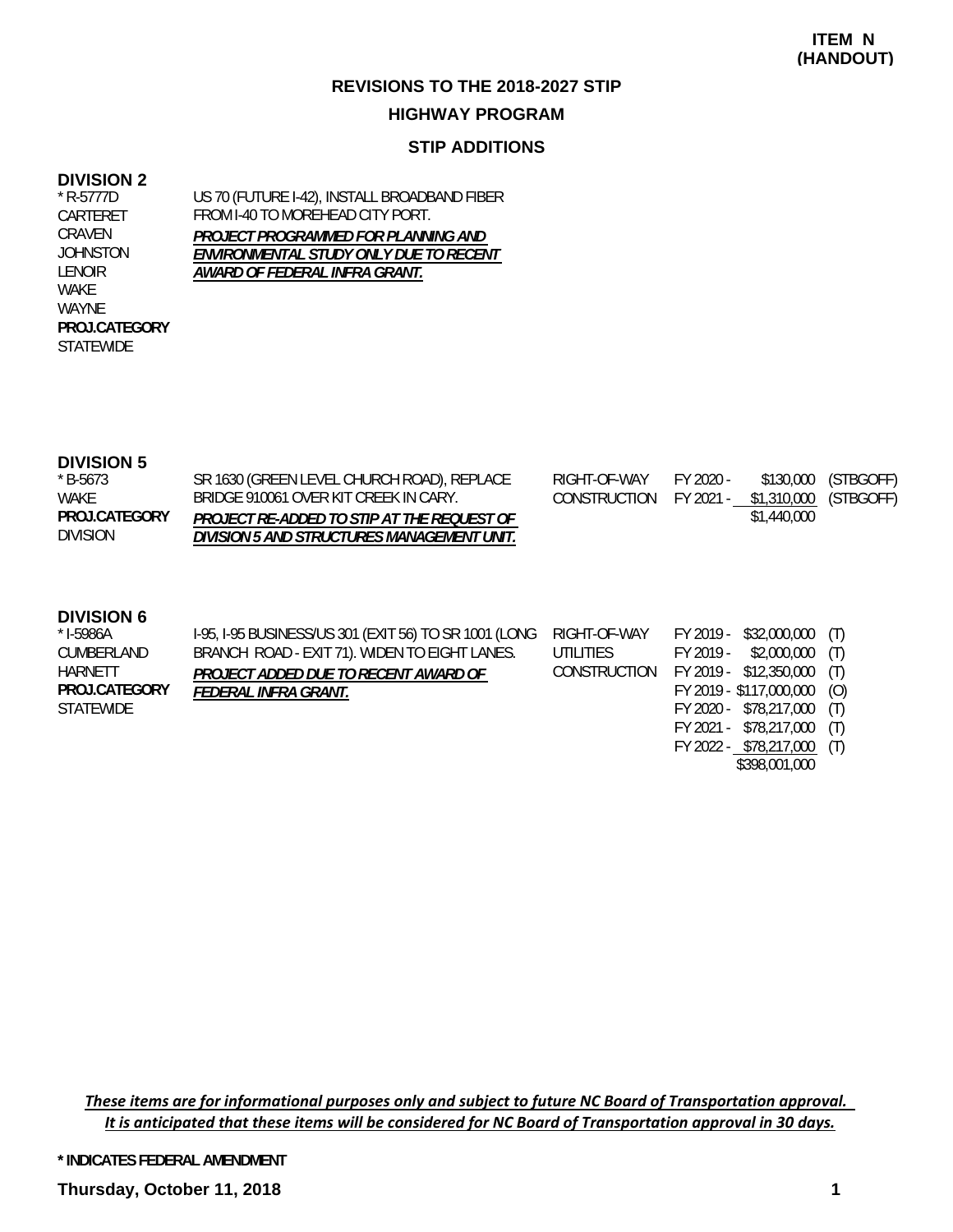#### **HIGHWAY PROGRAM**

#### **STIP ADDITIONS**

#### **DIVISION 2**

\* R-5777D CARTERET CRAVEN JOHNSTON LENOIR WAKE WAYNE **STATEWIDE PROJ.CATEGORY** US 70 (FUTURE I-42), INSTALL BROADBAND FIBER FROM I-40 TO MOREHEAD CITY PORT. *PROJECT PROGRAMMED FOR PLANNING AND ENVIRONMENTAL STUDY ONLY DUE TO RECENT AWARD OF FEDERAL INFRA GRANT.*

#### **DIVISION 5**

| * B-5673        | SR 1630 (GREEN LEVEL CHURCH ROAD), REPLACE | RIGHT-OF-WAY                                 | FY 2020 - |             | \$130,000 (STBGOFF) |
|-----------------|--------------------------------------------|----------------------------------------------|-----------|-------------|---------------------|
| WAKE            | BRIDGE 910061 OVER KIT CREEK IN CARY.      | CONSTRUCTION FY 2021 - \$1,310,000 (STBGOFF) |           |             |                     |
| PROJ.CATEGORY   | PROJECT RE-ADDED TO STIP AT THE REQUEST OF |                                              |           | \$1,440,000 |                     |
| <b>DIVISION</b> | DIVISION 5 AND STRUCTURES MANAGEMENT UNIT. |                                              |           |             |                     |

#### **DIVISION 6**

| * I-5986A     | I-95, I-95 BUSINESS/US 301 (EXIT 56) TO SR 1001 (LONG |           | RIGHT-OF-WAY FY 2019 - \$32,000,000 (T) |  |
|---------------|-------------------------------------------------------|-----------|-----------------------------------------|--|
| CUMBERLAND    | BRANCH ROAD - EXIT 71). WIDEN TO EIGHT LANES.         | UTILITIES | FY 2019 - \$2,000,000 (T)               |  |
| HARNETT       | PROJECT ADDED DUE TO RECENT AWARD OF                  |           | CONSTRUCTION FY 2019 - \$12,350,000 (T) |  |
| PROJ.CATEGORY | FEDERAL INFRA GRANT.                                  |           | FY 2019 - \$117,000,000 (O)             |  |
| STATEWIDE     |                                                       |           | FY 2020 - \$78,217,000 (T)              |  |
|               |                                                       |           | FY 2021 - \$78,217,000 (T)              |  |

These items are for informational purposes only and subject to future NC Board of Transportation approval. It is anticipated that these items will be considered for NC Board of Transportation approval in 30 days.

**\* INDICATES FEDERAL AMENDMENT**

FY 2022 - \$78,217,000 (T) \$398,001,000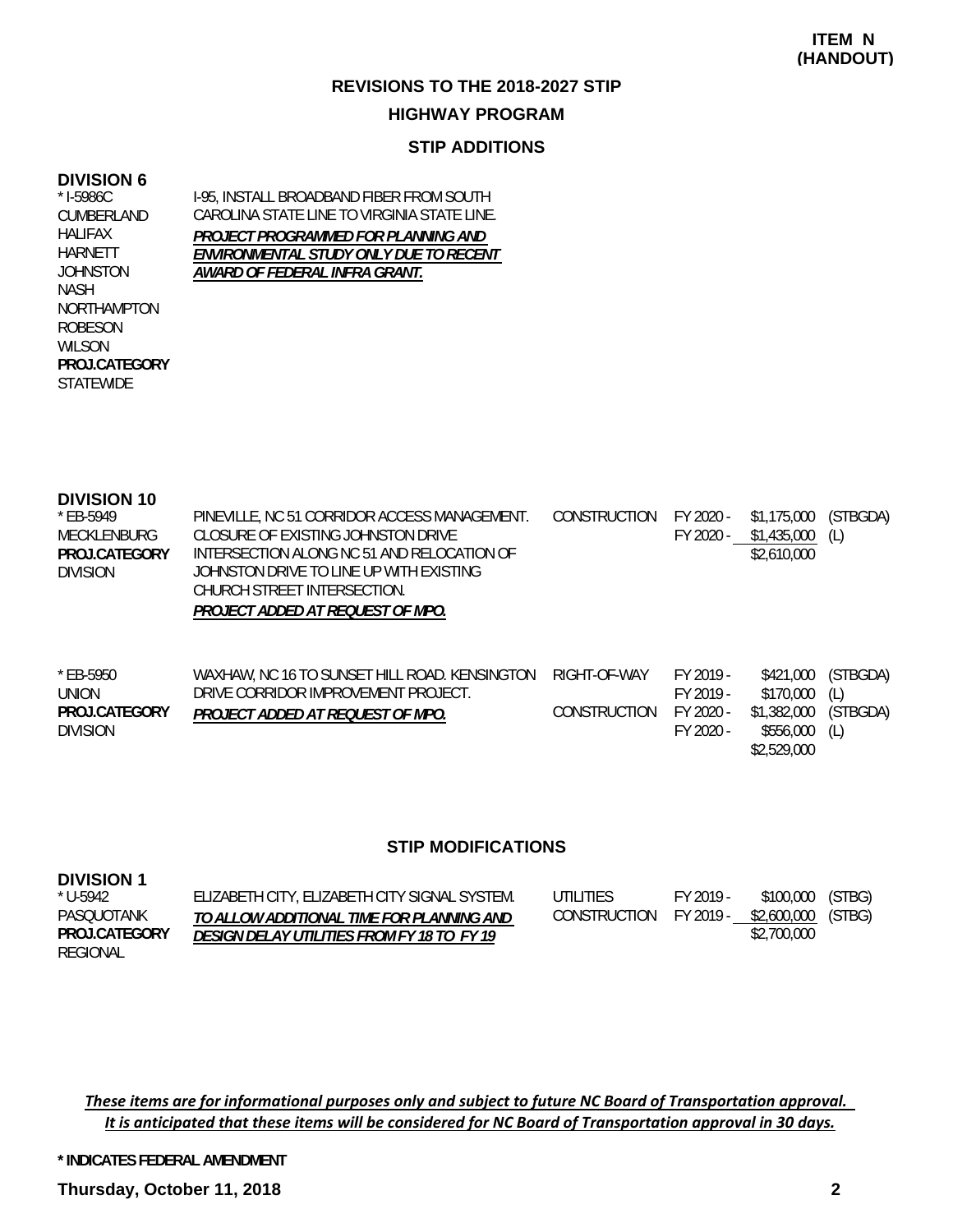### **REVISIONS TO THE 2018-2027 STIP HIGHWAY PROGRAM**

### **STIP ADDITIONS**

#### **DIVISION 6**

NASH

ROBESON WILSON

**STATEWIDE PROJ.CATEGORY**

I-95, INSTALL BROADBAND FIBER FROM SOUTH CAROLINA STATE LINE TO VIRGINIA STATE LINE. *PROJECT PROGRAMMED FOR PLANNING AND ENVIRONMENTAL STUDY ONLY DUE TO RECENT AWARD OF FEDERAL INFRA GRANT.* \* I-5986C CUMBERLAND HALIFAX HARNETT JOHNSTON NORTHAMPTON

| <b>DIVISION 10</b>   |                                              |              |           |             |          |
|----------------------|----------------------------------------------|--------------|-----------|-------------|----------|
| * EB-5949            | PINEVILLE, NC 51 CORRIDOR ACCESS MANAGEMENT. | CONSTRUCTION | FY 2020 - | \$1,175,000 | (STBGDA) |
| MECKLENBURG          | CLOSURE OF EXISTING JOHNSTON DRIVE           |              | FY 2020 - | \$1,435,000 | (L)      |
| <b>PROJ CATEGORY</b> | INTERSECTION ALONG NC 51 AND RELOCATION OF   |              |           | \$2,610,000 |          |
| <b>DIVISION</b>      | JOHNSTON DRIVE TO LINE UP WITH EXISTING      |              |           |             |          |
|                      | CHURCH STREET INTERSECTION.                  |              |           |             |          |
|                      | PROJECT ADDED AT REQUEST OF MPO.             |              |           |             |          |
|                      |                                              |              |           |             |          |
|                      |                                              |              |           |             |          |

| $*$ EB-5950     | WAXHAW, NC 16 TO SUNSET HILL ROAD, KENSINGTON | RIGHT-OF-WAY | FY 2019 -   |                      | \$421,000 (STBGDA) |
|-----------------|-----------------------------------------------|--------------|-------------|----------------------|--------------------|
| <b>UNION</b>    | DRIVE CORRIDOR IMPROVEMENT PROJECT.           |              | FY 2019 -   | \$170.000 (L)        |                    |
| PROJ.CATEGORY   | PROJECT ADDED AT REQUEST OF MPO.              | CONSTRUCTION | $FY 2020 -$ | \$1,382,000 (STBGDA) |                    |
| <b>DIVISION</b> |                                               |              | FY 2020 -   | \$556.000            | (L)                |
|                 |                                               |              |             | \$2,529,000          |                    |

#### **STIP MODIFICATIONS**

| <b>DIVISION 1</b> |                                               |                        |           |             |        |
|-------------------|-----------------------------------------------|------------------------|-----------|-------------|--------|
| * U-5942          | ELIZABETH CITY, ELIZABETH CITY SIGNAL SYSTEM. | UTILITIES              | FY 2019 - | \$100,000   | (STBG) |
| PASQUOTANK        | TO ALLOW ADDITIONAL TIME FOR PLANNING AND     | CONSTRUCTION FY 2019 - |           | \$2,600,000 | (STBG) |
| PROJ.CATEGORY     | DESIGN DELAY UTILITIES FROM FY 18 TO FY 19    |                        |           | \$2,700,000 |        |
| REGIONAL          |                                               |                        |           |             |        |

These items are for informational purposes only and subject to future NC Board of Transportation approval. It is anticipated that these items will be considered for NC Board of Transportation approval in 30 days.

**\* INDICATES FEDERAL AMENDMENT**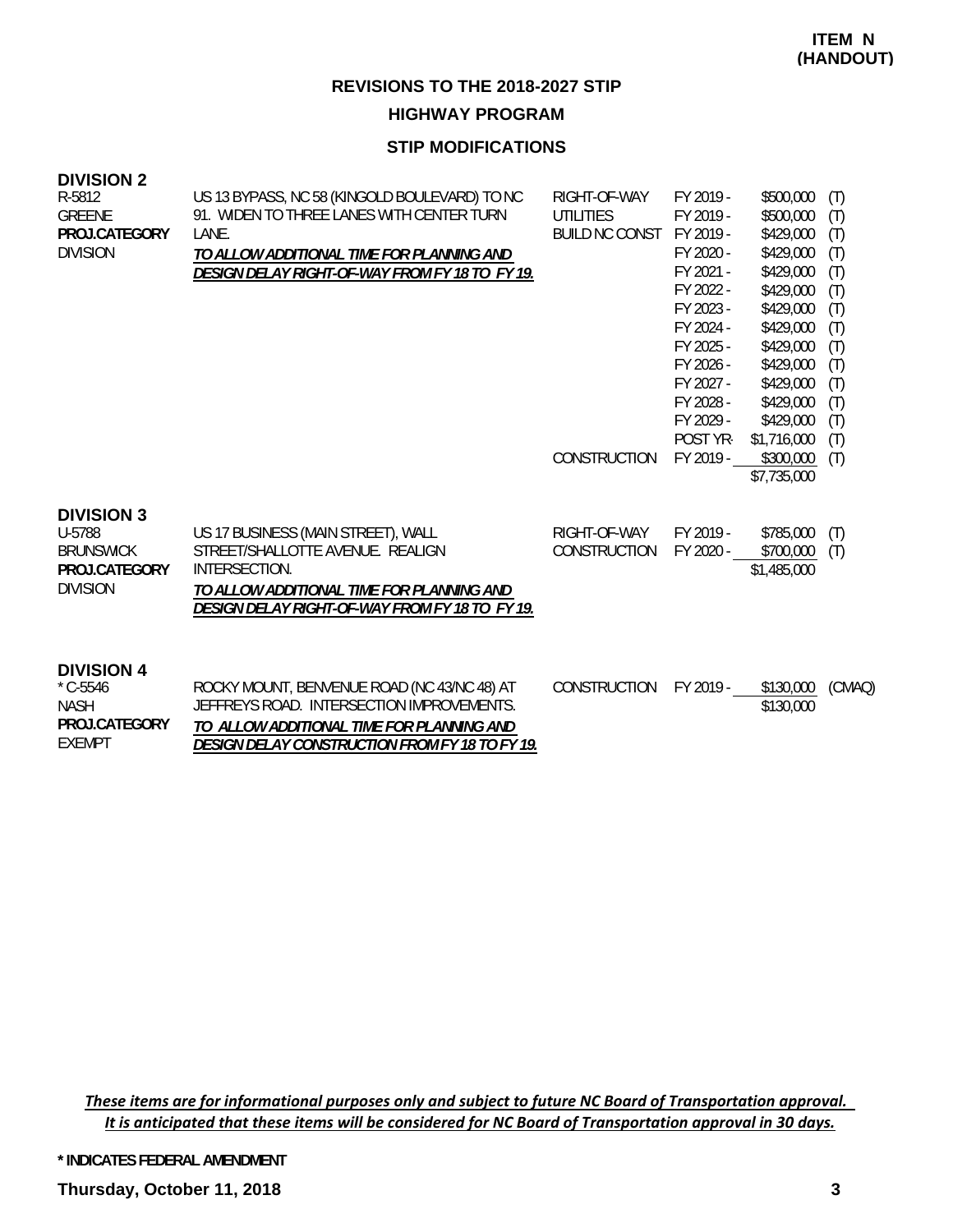**HIGHWAY PROGRAM**

#### **STIP MODIFICATIONS**

| <b>DIVISION 2</b> |                                                |                |           |           |     |
|-------------------|------------------------------------------------|----------------|-----------|-----------|-----|
| R-5812            | US 13 BYPASS, NC 58 (KINGOLD BOULEVARD) TO NC  | RIGHT-OF-WAY   | FY 2019 - | \$500,000 | (T) |
| <b>GREENE</b>     | 91. WIDEN TO THREE LANES WITH CENTER TURN      | UTILITIES      | FY 2019 - | \$500,000 | (T) |
| PROJ.CATEGORY     | LANE.                                          | BUILD NC CONST | FY 2019 - | \$429,000 | (T) |
| <b>DIVISION</b>   | TO ALLOW ADDITIONAL TIME FOR PLANNING AND      |                | FY 2020 - | \$429,000 | (T) |
|                   | DESIGN DELAY RIGHT-OF-WAY FROM FY 18 TO FY 19. |                | FY 2021 - | \$429,000 | (T) |
|                   |                                                |                | FY 2022 - | \$429,000 | (T) |
|                   |                                                |                | FY 2023 - | \$429,000 | (T) |
|                   |                                                |                | FY 2024 - | \$429,000 | (T) |
|                   |                                                |                | FY 2025 - | \$429,000 | (T) |
|                   |                                                |                | FY 2026 - | \$429,000 | (T) |
|                   |                                                |                | FY 2027 - | \$429,000 | (T) |
|                   |                                                |                | FY 2028 - | \$429,000 | (T) |
|                   |                                                |                | FY 2029 - | \$429,000 | (T) |

FY 2025 - \$429,000 (T) FY 2026 - \$429,000 (T) FY 2027 - \$429,000 (T) FY 2028 - \$429,000 (T) FY 2029 - \$429,000 (T) POST YR- \$1,716,000 (T) CONSTRUCTION FY 2019 - \$300,000 (T) \$7,735,000

#### **DIVISION 3**

| U-5788          | US 17 BUSINESS (MAIN STREET), WALL             | RIGHT-OF-WAY           | FY 2019 - | $$785,000$ (T) |     |
|-----------------|------------------------------------------------|------------------------|-----------|----------------|-----|
| BRUNSWICK       | STREET/SHALLOTTE AVENUE. REALIGN               | CONSTRUCTION FY 2020 - |           | \$700.000      | (T) |
| PROJ.CATEGORY   | INTERSECTION.                                  |                        |           | \$1,485,000    |     |
| <b>DIVISION</b> | TO ALLOW ADDITIONAL TIME FOR PLANNING AND      |                        |           |                |     |
|                 | DESIGN DELAY RIGHT-OF-WAY FROM FY 18 TO FY 19. |                        |           |                |     |
|                 |                                                |                        |           |                |     |

#### **DIVISION 4**

| $^*$ C-5546   | ROCKY MOUNT, BENVENUE ROAD (NC 43/NC 48) AT    | CONSTRUCTION | FY 2019 - | \$130,000 (CMAQ) |  |
|---------------|------------------------------------------------|--------------|-----------|------------------|--|
| NASH          | JEFFREYS ROAD. INTERSECTION IMPROVEMENTS.      |              |           | \$130,000        |  |
| PROJ.CATEGORY | TO ALLOW ADDITIONAL TIME FOR PLANNING AND      |              |           |                  |  |
| EXEMPT        | DESIGN DELAY CONSTRUCTION FROM FY 18 TO FY 19. |              |           |                  |  |

These items are for informational purposes only and subject to future NC Board of Transportation approval. It is anticipated that these items will be considered for NC Board of Transportation approval in 30 days.

**\* INDICATES FEDERAL AMENDMENT**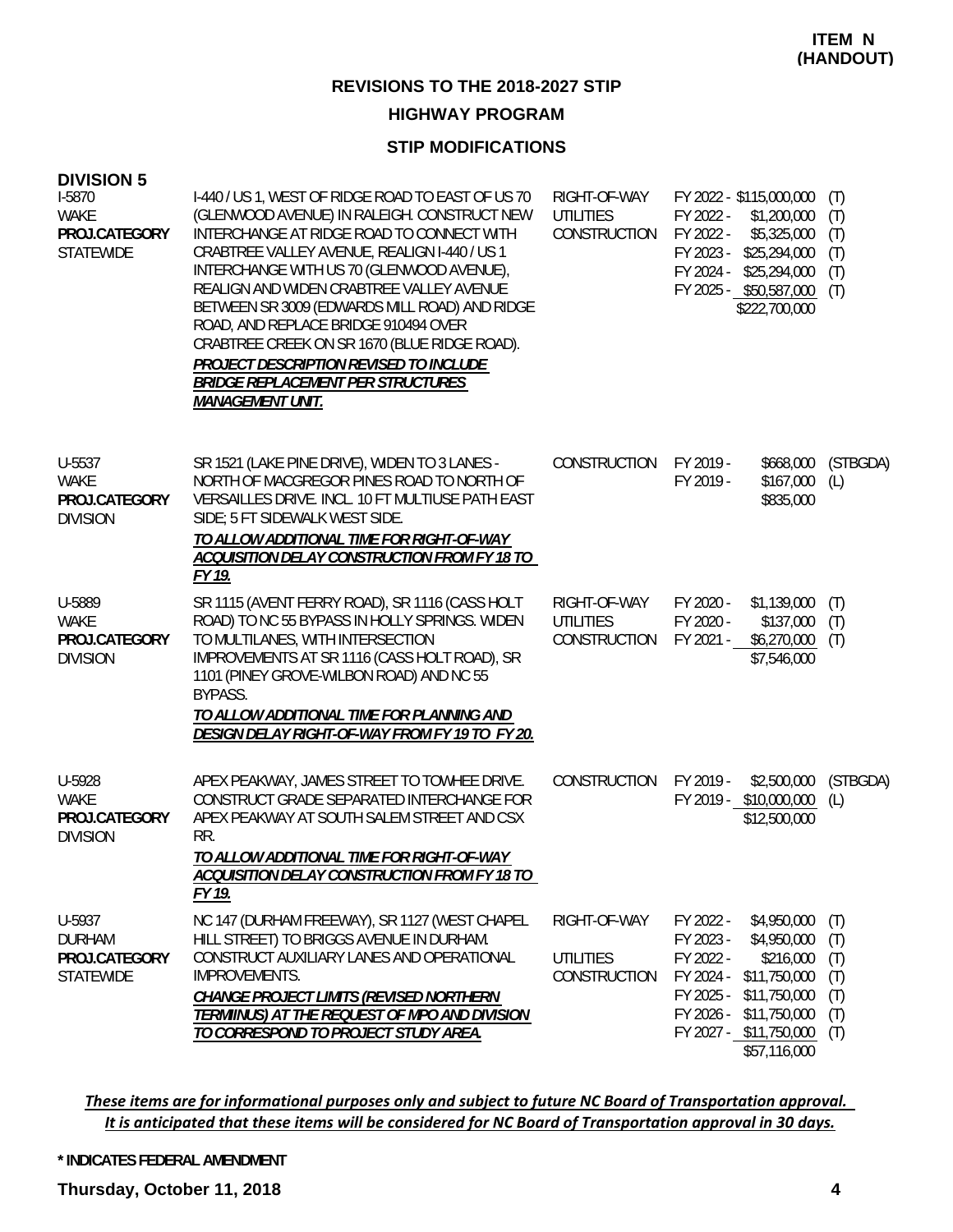#### **HIGHWAY PROGRAM**

#### **STIP MODIFICATIONS**

| <b>DIVISION 5</b><br>I-5870<br><b>WAKE</b><br>PROJ.CATEGORY<br><b>STATEWIDE</b> | I-440 / US 1, WEST OF RIDGE ROAD TO EAST OF US 70<br>(GLENWOOD AVENUE) IN RALEIGH. CONSTRUCT NEW<br>INTERCHANGE AT RIDGE ROAD TO CONNECT WITH<br>CRABTREE VALLEY AVENUE, REALIGN I-440 / US 1<br>INTERCHANGE WITH US 70 (GLENWOOD AVENUE),<br>REALIGN AND WIDEN CRABTREE VALLEY AVENUE<br>BETWEEN SR 3009 (EDWARDS MILL ROAD) AND RIDGE<br>ROAD, AND REPLACE BRIDGE 910494 OVER<br>CRABTREE CREEK ON SR 1670 (BLUE RIDGE ROAD).<br>PROJECT DESCRIPTION REVISED TO INCLUDE<br><b>BRIDGE REPLACEMENT PER STRUCTURES</b><br><b>MANAGEMENT UNIT.</b> | RIGHT-OF-WAY<br><b>UTILITIES</b><br>CONSTRUCTION | FY 2022 - \$115,000,000<br>FY 2022 -<br>FY 2022 -<br>FY 2023 -<br>FY 2024 -<br>FY 2025 - \$50,587,000 | \$1,200,000<br>\$5,325,000<br>\$25,294,000<br>\$25,294,000<br>\$222,700,000                             | (T)<br>(T)<br>(T)<br>(T)<br>(T)<br>(T)        |
|---------------------------------------------------------------------------------|--------------------------------------------------------------------------------------------------------------------------------------------------------------------------------------------------------------------------------------------------------------------------------------------------------------------------------------------------------------------------------------------------------------------------------------------------------------------------------------------------------------------------------------------------|--------------------------------------------------|-------------------------------------------------------------------------------------------------------|---------------------------------------------------------------------------------------------------------|-----------------------------------------------|
| U-5537<br><b>WAKE</b><br>PROJ.CATEGORY<br><b>DIVISION</b>                       | SR 1521 (LAKE PINE DRIVE), WIDEN TO 3 LANES -<br>NORTH OF MACGREGOR PINES ROAD TO NORTH OF<br>VERSAILLES DRIVE. INCL. 10 FT MULTIUSE PATH EAST<br>SIDE; 5 FT SIDEWALK WEST SIDE.<br>TO ALLOW ADDITIONAL TIME FOR RIGHT-OF-WAY<br>ACQUISITION DELAY CONSTRUCTION FROM FY 18 TO<br>FY 19.                                                                                                                                                                                                                                                          | CONSTRUCTION                                     | FY 2019 -<br>FY 2019 -                                                                                | \$668,000<br>\$167,000<br>\$835,000                                                                     | (STBGDA)<br>(L)                               |
| U-5889<br><b>WAKE</b><br>PROJ.CATEGORY<br><b>DIVISION</b>                       | SR 1115 (AVENT FERRY ROAD), SR 1116 (CASS HOLT<br>ROAD) TO NC 55 BYPASS IN HOLLY SPRINGS. WIDEN<br>TO MULTILANES, WITH INTERSECTION<br>IMPROVEMENTS AT SR 1116 (CASS HOLT ROAD), SR<br>1101 (PINEY GROVE-WILBON ROAD) AND NC 55<br>BYPASS.<br>TO ALLOW ADDITIONAL TIME FOR PLANNING AND<br>DESIGN DELAY RIGHT-OF-WAY FROM FY 19 TO FY 20.                                                                                                                                                                                                        | RIGHT-OF-WAY<br><b>UTILITIES</b><br>CONSTRUCTION | FY 2020 -<br>FY 2020 -<br>FY 2021 - \$6,270,000                                                       | \$1,139,000<br>\$137,000<br>\$7,546,000                                                                 | (T)<br>(T)<br>(T)                             |
| U-5928<br><b>WAKE</b><br>PROJ.CATEGORY<br><b>DIVISION</b>                       | APEX PEAKWAY, JAMES STREET TO TOWHEE DRIVE.<br>CONSTRUCT GRADE SEPARATED INTERCHANGE FOR<br>APEX PEAKWAY AT SOUTH SALEM STREET AND CSX<br>RR.<br>TO ALLOW ADDITIONAL TIME FOR RIGHT-OF-WAY<br>ACQUISITION DELAY CONSTRUCTION FROM FY 18 TO<br>FY 19.                                                                                                                                                                                                                                                                                             | CONSTRUCTION                                     | FY 2019 -<br>FY 2019 - \$10,000,000                                                                   | \$2,500,000<br>\$12,500,000                                                                             | (STBGDA)<br>(L)                               |
| U-5937<br><b>DURHAM</b><br>PROJ.CATEGORY<br><b>STATEWIDE</b>                    | NC 147 (DURHAM FREEWAY), SR 1127 (WEST CHAPEL<br>HILL STREET) TO BRIGGS AVENUE IN DURHAM.<br>CONSTRUCT AUXILIARY LANES AND OPERATIONAL<br><b>IMPROVEMENTS.</b><br><b>CHANGE PROJECT LIMITS (REVISED NORTHERN</b><br>TERMIINUS) AT THE REQUEST OF MPO AND DIVISION<br>TO CORRESPOND TO PROJECT STUDY AREA.                                                                                                                                                                                                                                        | RIGHT-OF-WAY<br><b>UTILITIES</b><br>CONSTRUCTION | FY 2022 -<br>FY 2023 -<br>FY 2022 -<br>FY 2024 -<br>FY 2025 -<br>FY 2026 -<br>FY 2027 - \$11,750,000  | \$4,950,000<br>\$4,950,000<br>\$216,000<br>\$11,750,000<br>\$11,750,000<br>\$11,750,000<br>\$57,116,000 | (T)<br>(T)<br>(T)<br>(T)<br>(T)<br>(T)<br>(T) |

These items are for informational purposes only and subject to future NC Board of Transportation approval. It is anticipated that these items will be considered for NC Board of Transportation approval in 30 days.

#### **\* INDICATES FEDERAL AMENDMENT**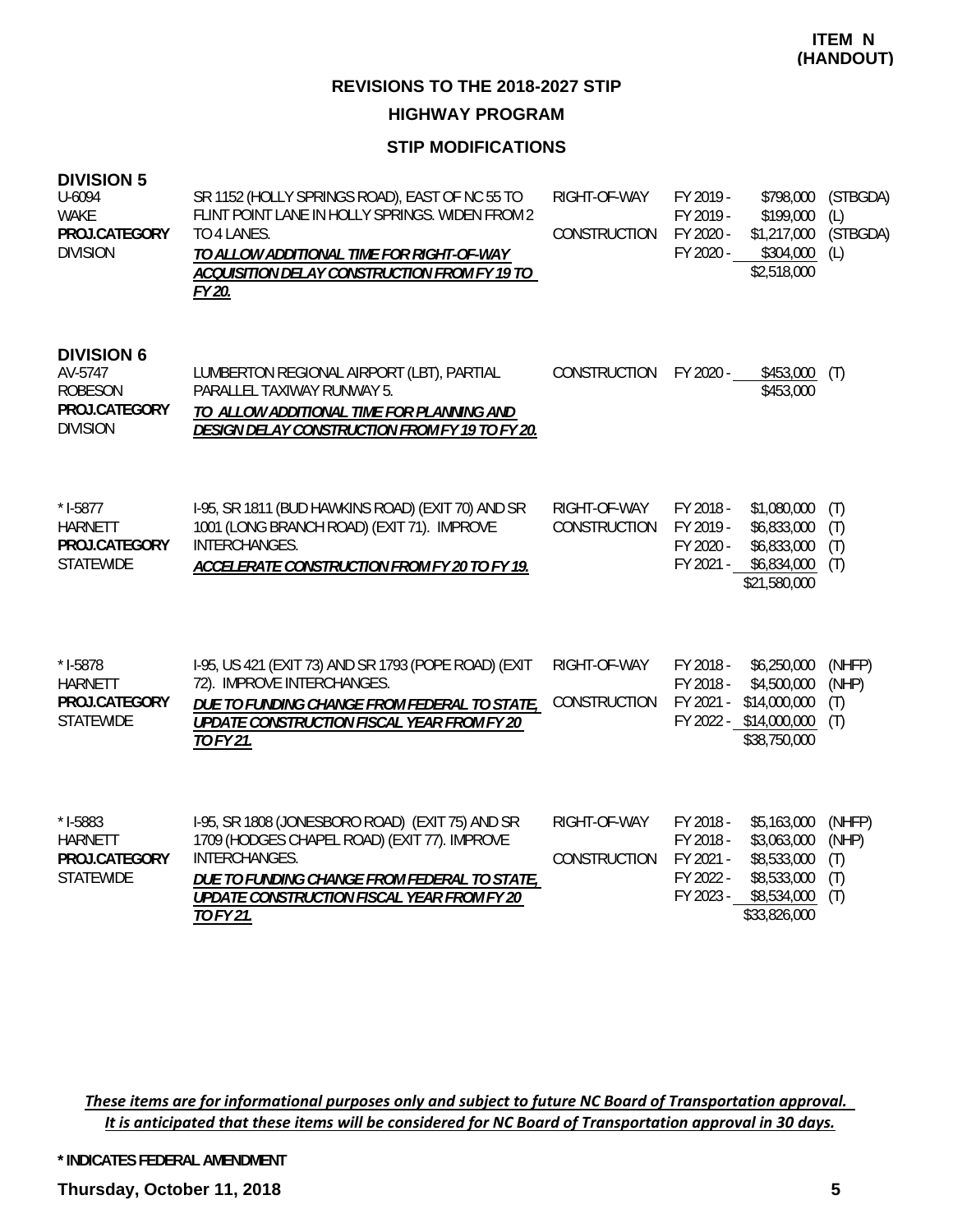**HIGHWAY PROGRAM**

#### **STIP MODIFICATIONS**

| <b>DIVISION 5</b><br>U-6094<br><b>WAKE</b><br>PROJ.CATEGORY<br><b>DIVISION</b>     | SR 1152 (HOLLY SPRINGS ROAD), EAST OF NC 55 TO<br>FLINT POINT LANE IN HOLLY SPRINGS. WIDEN FROM 2<br>TO 4 LANES.<br>TO ALLOW ADDITIONAL TIME FOR RIGHT-OF-WAY<br>ACQUISITION DELAY CONSTRUCTION FROM FY 19 TO<br>FY 20.            | RIGHT-OF-WAY<br><b>CONSTRUCTION</b> | FY 2019 -<br>FY 2019 -<br>FY 2020 -<br>FY 2020 -              | \$798,000<br>\$199,000<br>\$1,217,000<br>\$304,000<br>\$2,518,000                       | (STBGDA)<br>(L)<br>(STBGDA)<br>(L)   |
|------------------------------------------------------------------------------------|------------------------------------------------------------------------------------------------------------------------------------------------------------------------------------------------------------------------------------|-------------------------------------|---------------------------------------------------------------|-----------------------------------------------------------------------------------------|--------------------------------------|
| <b>DIVISION 6</b><br>AV-5747<br><b>ROBESON</b><br>PROJ.CATEGORY<br><b>DIVISION</b> | LUMBERTON REGIONAL AIRPORT (LBT), PARTIAL<br>PARALLEL TAXIWAY RUNWAY 5.<br>TO ALLOW ADDITIONAL TIME FOR PLANNING AND<br>DESIGN DELAY CONSTRUCTION FROM FY 19 TO FY 20.                                                             | CONSTRUCTION                        | FY 2020 -                                                     | \$453,000<br>\$453,000                                                                  | (T)                                  |
| $* I-5877$<br><b>HARNETT</b><br>PROJ.CATEGORY<br><b>STATEWIDE</b>                  | I-95, SR 1811 (BUD HAWKINS ROAD) (EXIT 70) AND SR<br>1001 (LONG BRANCH ROAD) (EXIT 71). IMPROVE<br>INTERCHANGES.<br>ACCELERATE CONSTRUCTION FROM FY 20 TO FY 19.                                                                   | RIGHT-OF-WAY<br>CONSTRUCTION        | FY 2018 -<br>FY 2019 -<br>FY 2020 -<br>FY 2021 -              | \$1,080,000<br>\$6,833,000<br>\$6,833,000<br>\$6,834,000<br>\$21,580,000                | (T)<br>(T)<br>(T)<br>(T)             |
| $* I-5878$<br><b>HARNETT</b><br>PROJ.CATEGORY<br><b>STATEWIDE</b>                  | I-95, US 421 (EXIT 73) AND SR 1793 (POPE ROAD) (EXIT<br>72). IMPROVE INTERCHANGES.<br>DUE TO FUNDING CHANGE FROM FEDERAL TO STATE,<br><b>UPDATE CONSTRUCTION FISCAL YEAR FROM FY 20</b><br><b>TO FY 21.</b>                        | RIGHT-OF-WAY<br><b>CONSTRUCTION</b> | FY 2018 -<br>FY 2018 -<br>FY 2021 -<br>FY 2022 - \$14,000,000 | \$6,250,000<br>\$4,500,000<br>\$14,000,000<br>\$38,750,000                              | (NHFP)<br>(NHP)<br>(T)<br>(T)        |
| $* I - 5883$<br><b>HARNETT</b><br>PROJ.CATEGORY<br><b>STATEWIDE</b>                | I-95, SR 1808 (JONESBORO ROAD) (EXIT 75) AND SR<br>1709 (HODGES CHAPEL ROAD) (EXIT 77). IMPROVE<br>INTERCHANGES.<br>DUE TO FUNDING CHANGE FROM FEDERAL TO STATE,<br><b>UPDATE CONSTRUCTION FISCAL YEAR FROM FY 20</b><br>TO FY 21. | RIGHT-OF-WAY<br>CONSTRUCTION        | FY 2018 -<br>FY 2018 -<br>FY 2021 -<br>FY 2022 -<br>FY 2023 - | \$5,163,000<br>\$3,063,000<br>\$8,533,000<br>\$8,533,000<br>\$8,534,000<br>\$33,826,000 | (NHFP)<br>(NHP)<br>(T)<br>(T)<br>(T) |

These items are for informational purposes only and subject to future NC Board of Transportation approval. It is anticipated that these items will be considered for NC Board of Transportation approval in 30 days.

**\* INDICATES FEDERAL AMENDMENT**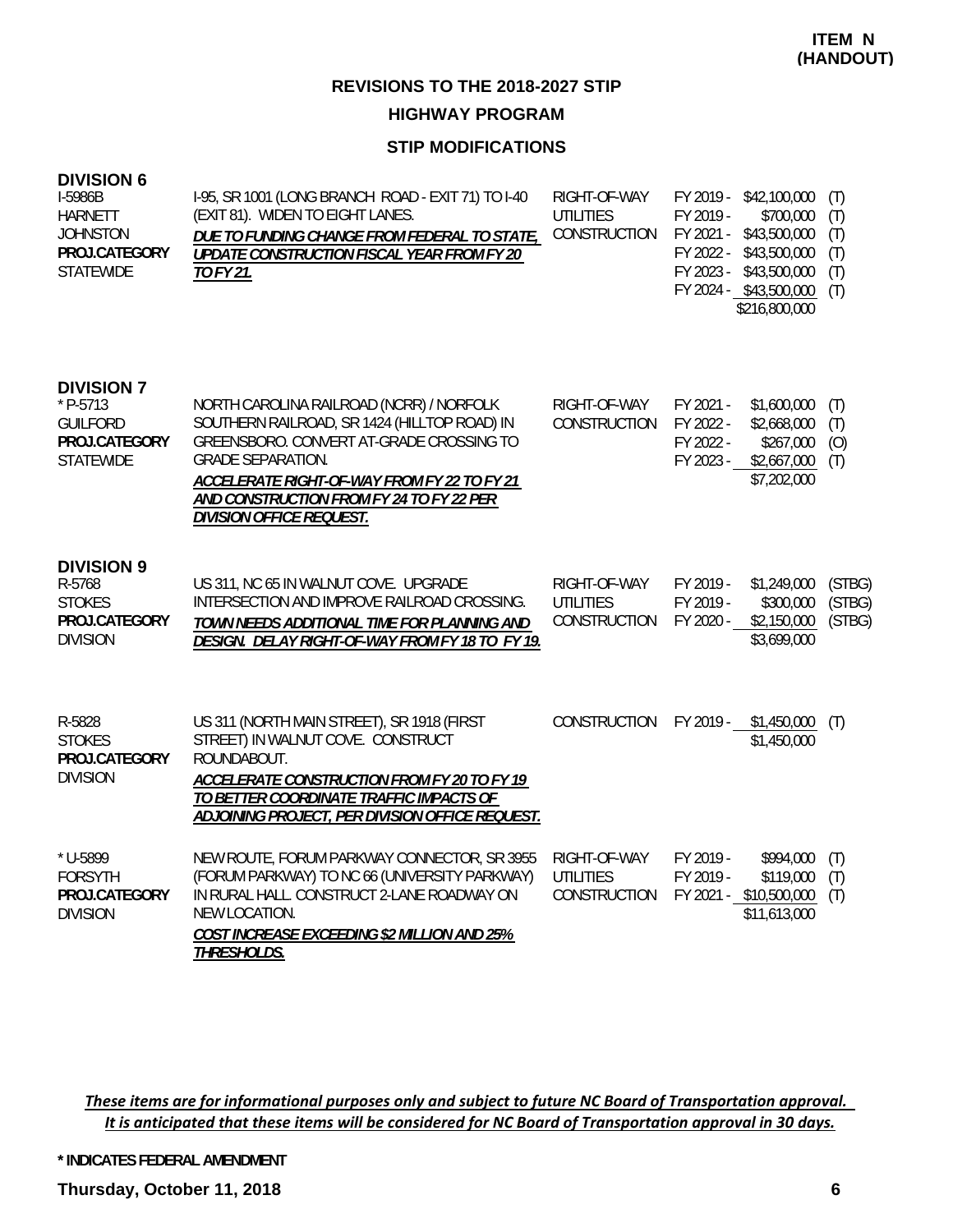**HIGHWAY PROGRAM**

#### **STIP MODIFICATIONS**

#### **DIVISION 6**

| I-5986B<br><b>HARNETT</b><br><b>JOHNSTON</b><br>PROJ.CATEGORY<br><b>STATEWIDE</b>       | I-95, SR 1001 (LONG BRANCH ROAD - EXIT 71) TO I-40<br>(EXIT 81). WIDEN TO EIGHT LANES.<br>DUE TO FUNDING CHANGE FROM FEDERAL TO STATE,<br>UPDATE CONSTRUCTION FISCAL YEAR FROM FY 20<br>TO FY 21.                                                                                              | RIGHT-OF-WAY<br>UTILITIES<br>CONSTRUCTION        | FY 2019 - \$42,100,000<br>FY 2019 -<br>\$700,000<br>FY 2021 -<br>\$43,500,000<br>FY 2022 -<br>\$43,500,000<br>FY 2023 - \$43,500,000<br>FY 2024 - \$43,500,000<br>\$216,800,000 | (T)<br>(T)<br>(T)<br>(T)<br>(T)<br>(T) |
|-----------------------------------------------------------------------------------------|------------------------------------------------------------------------------------------------------------------------------------------------------------------------------------------------------------------------------------------------------------------------------------------------|--------------------------------------------------|---------------------------------------------------------------------------------------------------------------------------------------------------------------------------------|----------------------------------------|
| <b>DIVISION 7</b><br>$*$ P-5713<br><b>GUILFORD</b><br>PROJ.CATEGORY<br><b>STATEWIDE</b> | NORTH CAROLINA RAILROAD (NCRR) / NORFOLK<br>SOUTHERN RAILROAD, SR 1424 (HILLTOP ROAD) IN<br>GREENSBORO. CONVERT AT-GRADE CROSSING TO<br><b>GRADE SEPARATION.</b><br>ACCELERATE RIGHT-OF-WAY FROM FY 22 TO FY 21<br>AND CONSTRUCTION FROM FY 24 TO FY 22 PER<br><b>DIVISION OFFICE REQUEST.</b> | RIGHT-OF-WAY<br>CONSTRUCTION                     | FY 2021 -<br>\$1,600,000<br>FY 2022 -<br>\$2,668,000<br>FY 2022 -<br>\$267,000<br>FY 2023 -<br>\$2,667,000<br>\$7,202,000                                                       | (T)<br>(T)<br>(O)<br>(T)               |
| <b>DIVISION 9</b><br>R-5768<br><b>STOKES</b><br>PROJ.CATEGORY<br><b>DIVISION</b>        | US 311, NC 65 IN WALNUT COVE. UPGRADE<br>INTERSECTION AND IMPROVE RAILROAD CROSSING.<br>TOWN NEEDS ADDITIONAL TIME FOR PLANNING AND<br>DESIGN. DELAY RIGHT-OF-WAY FROM FY 18 TO FY 19.                                                                                                         | RIGHT-OF-WAY<br><b>UTILITIES</b><br>CONSTRUCTION | FY 2019 -<br>\$1,249,000<br>FY 2019 -<br>\$300,000<br>FY 2020 -<br>\$2,150,000<br>\$3,699,000                                                                                   | (STBG)<br>(STBG)<br>(STBG)             |
| R-5828<br><b>STOKES</b><br>PROJ.CATEGORY<br><b>DIVISION</b>                             | US 311 (NORTH MAIN STREET), SR 1918 (FIRST<br>STREET) IN WALNUT COVE. CONSTRUCT<br>ROUNDABOUT.<br>ACCELERATE CONSTRUCTION FROM FY 20 TO FY 19<br>TO BETTER COORDINATE TRAFFIC IMPACTS OF<br>ADJOINING PROJECT, PER DIVISION OFFICE REQUEST.                                                    | <b>CONSTRUCTION</b>                              | \$1,450,000<br>FY 2019 -<br>\$1,450,000                                                                                                                                         | (T)                                    |
| * U-5899<br><b>FORSYTH</b><br>PROJ.CATEGORY<br><b>DIVISION</b>                          | NEW ROUTE, FORUM PARKWAY CONNECTOR, SR 3955<br>(FORUM PARKWAY) TO NC 66 (UNIVERSITY PARKWAY)<br>IN RURAL HALL. CONSTRUCT 2-LANE ROADWAY ON<br>NEW LOCATION.<br>COST INCREASE EXCEEDING \$2 MILLION AND 25%<br>THRESHOLDS.                                                                      | RIGHT-OF-WAY<br><b>UTILITIES</b><br>CONSTRUCTION | FY 2019 -<br>\$994,000<br>FY 2019 -<br>\$119,000<br>FY 2021 - \$10,500,000<br>\$11,613,000                                                                                      | (T)<br>(T)<br>(T)                      |

These items are for informational purposes only and subject to future NC Board of Transportation approval. It is anticipated that these items will be considered for NC Board of Transportation approval in 30 days.

**\* INDICATES FEDERAL AMENDMENT**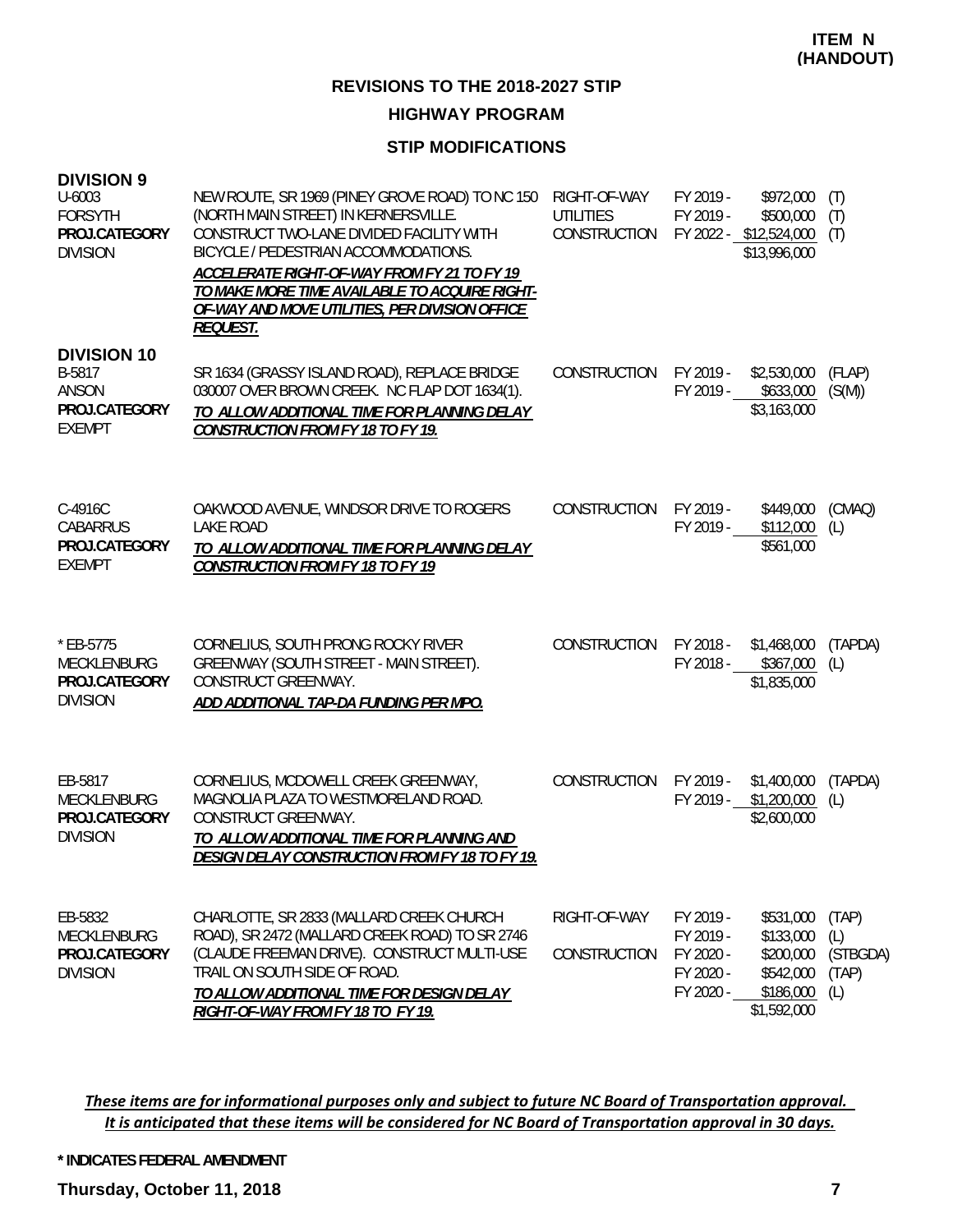# **HIGHWAY PROGRAM**

#### **STIP MODIFICATIONS**

| <b>DIVISION 9</b><br>U-6003<br><b>FORSYTH</b><br>PROJ.CATEGORY<br><b>DIVISION</b> | NEW ROUTE, SR 1969 (PINEY GROVE ROAD) TO NC 150<br>(NORTH MAIN STREET) IN KERNERSVILLE.<br>CONSTRUCT TWO-LANE DIVIDED FACILITY WITH<br>BICYCLE / PEDESTRIAN ACCOMMODATIONS.<br>ACCELERATE RIGHT-OF-WAY FROM FY 21 TO FY 19<br>TO MAKE MORE TIME AVAILABLE TO ACQUIRE RIGHT-<br>OF-WAY AND MOVE UTILITIES, PER DIVISION OFFICE<br><b>REQUEST.</b> | RIGHT-OF-WAY<br><b>UTILITIES</b><br>CONSTRUCTION | FY 2019 -<br>FY 2019 -                                        | \$972,000<br>\$500,000<br>FY 2022 - \$12,524,000<br>\$13,996,000             | (T)<br>(T)<br>(T)                        |
|-----------------------------------------------------------------------------------|--------------------------------------------------------------------------------------------------------------------------------------------------------------------------------------------------------------------------------------------------------------------------------------------------------------------------------------------------|--------------------------------------------------|---------------------------------------------------------------|------------------------------------------------------------------------------|------------------------------------------|
| <b>DIVISION 10</b><br>B-5817<br><b>ANSON</b><br>PROJ.CATEGORY<br><b>EXEMPT</b>    | SR 1634 (GRASSY ISLAND ROAD), REPLACE BRIDGE<br>030007 OVER BROWN CREEK. NC FLAP DOT 1634(1).<br>TO ALLOW ADDITIONAL TIME FOR PLANNING DELAY<br><b>CONSTRUCTION FROM FY 18 TO FY 19.</b>                                                                                                                                                         | CONSTRUCTION                                     | FY 2019 -                                                     | \$2,530,000<br>FY 2019 - \$633,000<br>\$3,163,000                            | (FLAP)<br>(S(M))                         |
| C-4916C<br><b>CABARRUS</b><br>PROJ.CATEGORY<br><b>EXEMPT</b>                      | OAKWOOD AVENUE, WINDSOR DRIVE TO ROGERS<br><b>LAKE ROAD</b><br>TO ALLOW ADDITIONAL TIME FOR PLANNING DELAY<br><b>CONSTRUCTION FROM FY 18 TO FY 19</b>                                                                                                                                                                                            | <b>CONSTRUCTION</b>                              | FY 2019 -<br>FY 2019 -                                        | \$449,000<br>\$112,000<br>\$561,000                                          | (CMAQ)<br>(L)                            |
| * EB-5775<br>MECKLENBURG<br>PROJ.CATEGORY<br><b>DIVISION</b>                      | CORNELIUS, SOUTH PRONG ROCKY RIVER<br>GREENWAY (SOUTH STREET - MAIN STREET).<br>CONSTRUCT GREENWAY.<br>ADD ADDITIONAL TAP-DA FUNDING PER MPO.                                                                                                                                                                                                    | CONSTRUCTION                                     | FY 2018 -                                                     | \$1,468,000<br>FY 2018 - \$367,000<br>\$1,835,000                            | (TAPDA)<br>(L)                           |
| EB-5817<br>MECKLENBURG<br>PROJ.CATEGORY<br><b>DIVISION</b>                        | CORNELIUS, MCDOWELL CREEK GREENWAY,<br>MAGNOLIA PLAZA TO WESTMORELAND ROAD.<br>CONSTRUCT GREENWAY.<br>TO ALLOW ADDITIONAL TIME FOR PLANNING AND<br><b>DESIGN DELAY CONSTRUCTION FROM FY 18 TO FY 19.</b>                                                                                                                                         | CONSTRUCTION                                     | FY 2019 -<br>FY 2019 -                                        | \$1,400,000<br>\$1,200,000<br>\$2,600,000                                    | (TAPDA)<br>(L)                           |
| EB-5832<br>MECKLENBURG<br>PROJ.CATEGORY<br><b>DIVISION</b>                        | CHARLOTTE, SR 2833 (MALLARD CREEK CHURCH<br>ROAD), SR 2472 (MALLARD CREEK ROAD) TO SR 2746<br>(CLAUDE FREEMAN DRIVE). CONSTRUCT MULTI-USE<br>TRAIL ON SOUTH SIDE OF ROAD.<br>TO ALLOW ADDITIONAL TIME FOR DESIGN DELAY<br>RIGHT-OF-WAY FROM FY 18 TO FY 19.                                                                                      | RIGHT-OF-WAY<br>CONSTRUCTION                     | FY 2019 -<br>FY 2019 -<br>FY 2020 -<br>FY 2020 -<br>FY 2020 - | \$531,000<br>\$133,000<br>\$200,000<br>\$542,000<br>\$186,000<br>\$1,592,000 | (TAP)<br>(L)<br>(STBGDA)<br>(TAP)<br>(L) |

These items are for informational purposes only and subject to future NC Board of Transportation approval. It is anticipated that these items will be considered for NC Board of Transportation approval in 30 days.

**\* INDICATES FEDERAL AMENDMENT**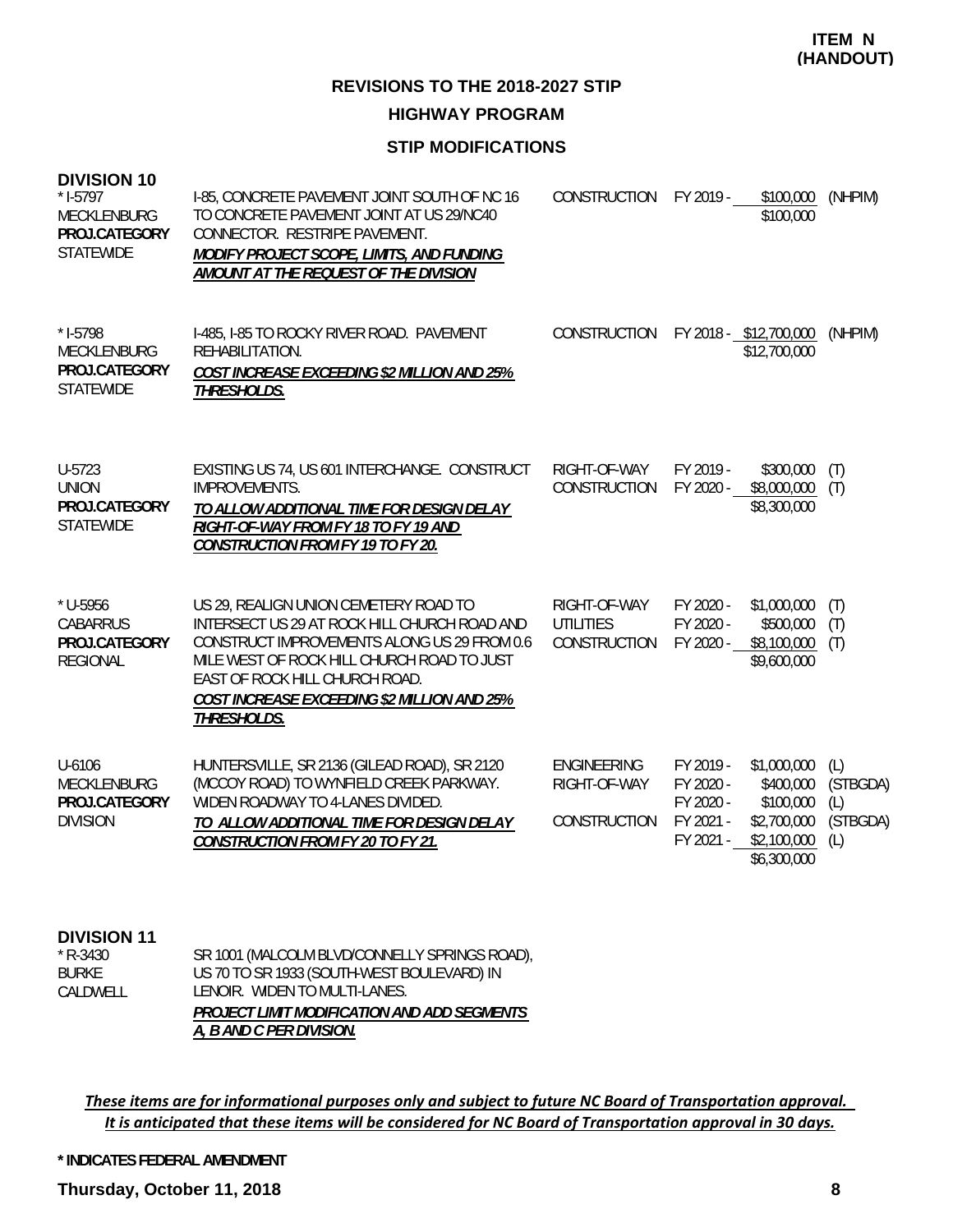**ITEM N (HANDOUT)**

**REVISIONS TO THE 2018-2027 STIP**

**HIGHWAY PROGRAM**

#### **STIP MODIFICATIONS**

| <b>DIVISION 10</b><br>$*$ 1-5797<br>MECKLENBURG<br>PROJ.CATEGORY<br><b>STATEWIDE</b> | I-85, CONCRETE PAVEMENT JOINT SOUTH OF NC 16<br>TO CONCRETE PAVEMENT JOINT AT US 29/NC40<br>CONNECTOR. RESTRIPE PAVEMENT.<br>MODIFY PROJECT SCOPE, LIMITS, AND FUNDING<br>AMOUNT AT THE REQUEST OF THE DIVISION                                                                    | CONSTRUCTION                                       | FY 2019 -                                                     | \$100,000<br>\$100,000                                                             | (NHPIM)                                   |
|--------------------------------------------------------------------------------------|------------------------------------------------------------------------------------------------------------------------------------------------------------------------------------------------------------------------------------------------------------------------------------|----------------------------------------------------|---------------------------------------------------------------|------------------------------------------------------------------------------------|-------------------------------------------|
| $* I-5798$<br>MECKLENBURG<br>PROJ.CATEGORY<br><b>STATEWIDE</b>                       | I-485, I-85 TO ROCKY RIVER ROAD. PAVEMENT<br>REHABILITATION.<br>COST INCREASE EXCEEDING \$2 MILLION AND 25%<br>THRESHOLDS.                                                                                                                                                         | CONSTRUCTION                                       |                                                               | FY 2018 - \$12,700,000<br>\$12,700,000                                             | (NHPIM)                                   |
| U-5723<br><b>UNION</b><br>PROJ.CATEGORY<br><b>STATEWIDE</b>                          | EXISTING US 74, US 601 INTERCHANGE. CONSTRUCT<br><b>IMPROVEMENTS.</b><br>TO ALLOW ADDITIONAL TIME FOR DESIGN DELAY<br>RIGHT-OF-WAY FROM FY 18 TO FY 19 AND<br><b>CONSTRUCTION FROM FY 19 TO FY 20.</b>                                                                             | RIGHT-OF-WAY<br>CONSTRUCTION                       | FY 2019 -<br>FY 2020 -                                        | \$300,000<br>\$8,000,000<br>\$8,300,000                                            | (T)<br>(T)                                |
| * U-5956<br><b>CABARRUS</b><br>PROJ.CATEGORY<br><b>REGIONAL</b>                      | US 29, REALIGN UNION CEMETERY ROAD TO<br>INTERSECT US 29 AT ROCK HILL CHURCH ROAD AND<br>CONSTRUCT IMPROVEMENTS ALONG US 29 FROM 0.6<br>MILE WEST OF ROCK HILL CHURCH ROAD TO JUST<br>EAST OF ROCK HILL CHURCH ROAD.<br>COST INCREASE EXCEEDING \$2 MILLION AND 25%<br>THRESHOLDS. | RIGHT-OF-WAY<br><b>UTILITIES</b><br>CONSTRUCTION   | FY 2020 -<br>FY 2020 -<br>FY 2020 -                           | \$1,000,000<br>\$500,000<br>\$8,100,000<br>\$9,600,000                             | (T)<br>(T)<br>(T)                         |
| U-6106<br><b>MECKLENBURG</b><br>PROJ.CATEGORY<br><b>DIVISION</b>                     | HUNTERSVILLE, SR 2136 (GILEAD ROAD), SR 2120<br>(MCCOY ROAD) TO WYNFIELD CREEK PARKWAY.<br>WIDEN ROADWAY TO 4-LANES DIVIDED.<br>TO ALLOW ADDITIONAL TIME FOR DESIGN DELAY<br><b>CONSTRUCTION FROM FY 20 TO FY 21.</b>                                                              | <b>ENGINEERING</b><br>RIGHT-OF-WAY<br>CONSTRUCTION | FY 2019 -<br>FY 2020 -<br>FY 2020 -<br>FY 2021 -<br>FY 2021 - | \$1,000,000<br>\$400,000<br>\$100,000<br>\$2,700,000<br>\$2,100,000<br>\$6,300,000 | (L)<br>(STBGDA)<br>(L)<br>(STBGDA)<br>(L) |

**DIVISION 11** \* R-3430

| $*$ R-3430   | SR 1001 (MALCOLM BLVD/CONNELLY SPRINGS ROAD), |
|--------------|-----------------------------------------------|
| <b>BURKE</b> | US 70 TO SR 1933 (SOUTH-WEST BOULEVARD) IN    |
| CALDWELL     | LENOIR. WIDEN TO MULTI-LANES.                 |
|              | PROJECT LIMIT MODIFICATION AND ADD SEGMENTS   |
|              | A, B AND C PER DIVISION.                      |

These items are for informational purposes only and subject to future NC Board of Transportation approval. It is anticipated that these items will be considered for NC Board of Transportation approval in 30 days.

**\* INDICATES FEDERAL AMENDMENT**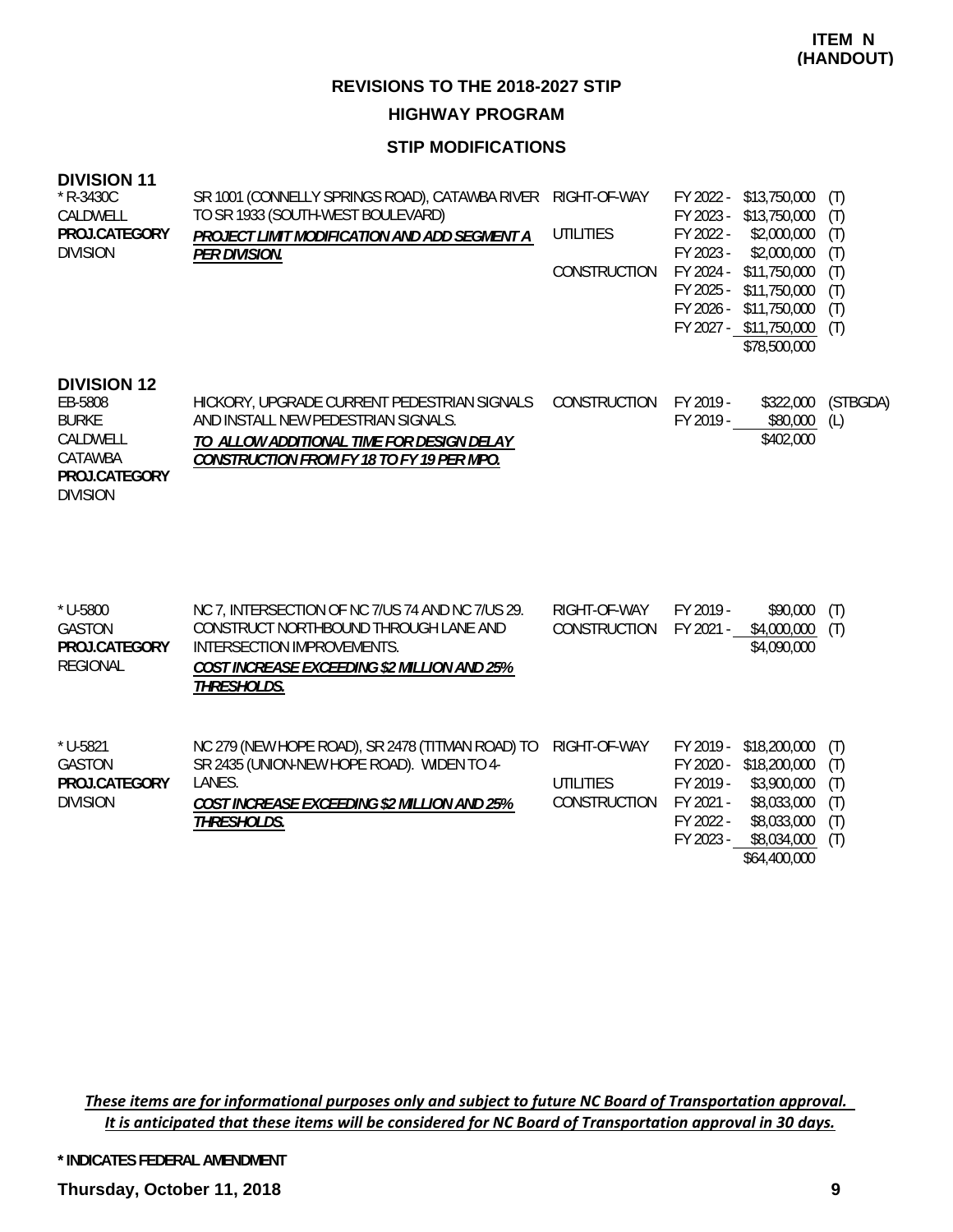**HIGHWAY PROGRAM**

#### **STIP MODIFICATIONS**

| <b>DIVISION 11</b> |  |
|--------------------|--|
|--------------------|--|

| * R-3430C<br>CALDWELL<br>PROJ.CATEGORY<br><b>DIVISION</b>                                                | SR 1001 (CONNELLY SPRINGS ROAD), CATAWBA RIVER<br>TO SR 1933 (SOUTH-WEST BOULEVARD)<br>PROJECT LIMIT MODIFICATION AND ADD SEGMENT A<br><b>PER DIVISION.</b>                           | RIGHT-OF-WAY<br><b>UTILITIES</b><br>CONSTRUCTION | FY 2022 -<br>\$13,750,000<br>FY 2023 -<br>\$13,750,000<br>FY 2022 -<br>\$2,000,000<br>FY 2023 -<br>\$2,000,000<br>FY 2024 -<br>\$11,750,000<br>FY 2025 -<br>\$11,750,000<br>FY 2026 -<br>\$11,750,000<br>FY 2027 - \$11,750,000<br>\$78,500,000 | (T)<br>(T)<br>(T)<br>(T)<br>(T)<br>(T)<br>(T)<br>(T) |
|----------------------------------------------------------------------------------------------------------|---------------------------------------------------------------------------------------------------------------------------------------------------------------------------------------|--------------------------------------------------|-------------------------------------------------------------------------------------------------------------------------------------------------------------------------------------------------------------------------------------------------|------------------------------------------------------|
| <b>DIVISION 12</b><br>EB-5808<br><b>BURKE</b><br>CALDWELL<br>CATAWBA<br>PROJ.CATEGORY<br><b>DIVISION</b> | HICKORY, UPGRADE CURRENT PEDESTRIAN SIGNALS<br>AND INSTALL NEW PEDESTRIAN SIGNALS.<br>TO ALLOW ADDITIONAL TIME FOR DESIGN DELAY<br><b>CONSTRUCTION FROM FY 18 TO FY 19 PER MPO.</b>   | CONSTRUCTION                                     | FY 2019 -<br>\$322,000<br>\$80,000<br>FY 2019 -<br>\$402,000                                                                                                                                                                                    | (STBGDA)<br>(L)                                      |
| * U-5800<br><b>GASTON</b><br>PROJ.CATEGORY<br><b>REGIONAL</b>                                            | NC 7, INTERSECTION OF NC 7/US 74 AND NC 7/US 29.<br>CONSTRUCT NORTHBOUND THROUGH LANE AND<br>INTERSECTION IMPROVEMENTS.<br>COST INCREASE EXCEEDING \$2 MILLION AND 25%<br>THRESHOLDS. | RIGHT-OF-WAY<br>CONSTRUCTION                     | FY 2019 -<br>\$90,000<br>FY 2021 -<br>\$4,000,000<br>\$4,090,000                                                                                                                                                                                | (T)<br>(T)                                           |
| $*$ U-5821<br><b>GASTON</b><br>PROJ.CATEGORY<br><b>DIVISION</b>                                          | NC 279 (NEW HOPE ROAD), SR 2478 (TITMAN ROAD) TO<br>SR 2435 (UNION-NEW HOPE ROAD). WIDEN TO 4-<br>LANES.<br>COST INCREASE EXCEEDING \$2 MILLION AND 25%<br>THRESHOLDS.                | RIGHT-OF-WAY<br><b>UTILITIES</b><br>CONSTRUCTION | FY 2019 -<br>\$18,200,000<br>\$18,200,000<br>FY 2020 -<br>FY 2019 -<br>\$3,900,000<br>FY 2021 -<br>\$8,033,000<br>\$8,033,000<br>FY 2022 -<br>FY 2023 -<br>\$8,034,000<br>\$64,400,000                                                          | (T)<br>(T)<br>(T)<br>(T)<br>(T)<br>(T)               |

These items are for informational purposes only and subject to future NC Board of Transportation approval. It is anticipated that these items will be considered for NC Board of Transportation approval in 30 days.

**\* INDICATES FEDERAL AMENDMENT**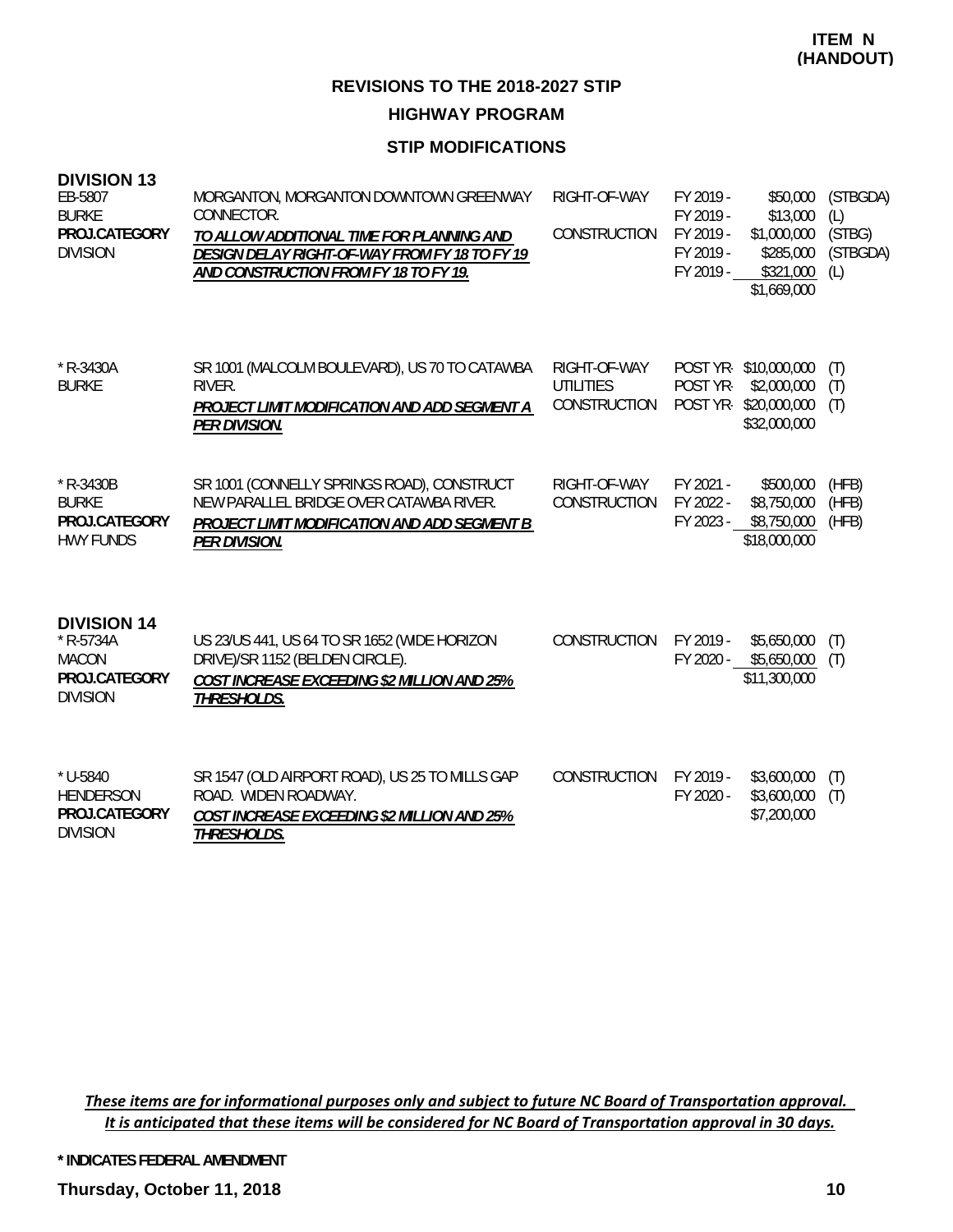**REVISIONS TO THE 2018-2027 STIP HIGHWAY PROGRAM**

#### **STIP MODIFICATIONS**

| <b>DIVISION 13</b><br>EB-5807<br><b>BURKE</b><br>PROJ.CATEGORY<br><b>DIVISION</b>     | MORGANTON, MORGANTON DOWNTOWN GREENWAY<br>CONNECTOR.<br>TO ALLOW ADDITIONAL TIME FOR PLANNING AND<br>DESIGN DELAY RIGHT-OF-WAY FROM FY 18 TO FY 19<br>AND CONSTRUCTION FROM FY 18 TO FY 19. | RIGHT-OF-WAY<br>CONSTRUCTION                     | FY 2019 -<br>FY 2019 -<br>FY 2019 -<br>FY 2019 -<br>FY 2019 - | \$50,000<br>\$13,000<br>\$1,000,000<br>\$285,000<br>\$321,000<br>\$1,669,000 | (STBGDA)<br>(L)<br>(STBG)<br>(STBGDA)<br>(L) |
|---------------------------------------------------------------------------------------|---------------------------------------------------------------------------------------------------------------------------------------------------------------------------------------------|--------------------------------------------------|---------------------------------------------------------------|------------------------------------------------------------------------------|----------------------------------------------|
| $*$ R-3430A<br><b>BURKE</b>                                                           | SR 1001 (MALCOLM BOULEVARD), US 70 TO CATAWBA<br>RIVER.<br>PROJECT LIMIT MODIFICATION AND ADD SEGMENT A<br>PER DIVISION.                                                                    | RIGHT-OF-WAY<br><b>UTILITIES</b><br>CONSTRUCTION | POST YR-<br>POST YR-                                          | POST YR-\$10,000,000<br>\$2,000,000<br>\$20,000,000<br>\$32,000,000          | (T)<br>(T)<br>(T)                            |
| $*$ R-3430B<br><b>BURKE</b><br>PROJ.CATEGORY<br><b>HWY FUNDS</b>                      | SR 1001 (CONNELLY SPRINGS ROAD), CONSTRUCT<br>NEW PARALLEL BRIDGE OVER CATAWBA RIVER.<br>PROJECT LIMIT MODIFICATION AND ADD SEGMENT B<br><b>PER DIVISION.</b>                               | RIGHT-OF-WAY<br>CONSTRUCTION                     | FY 2021 -<br>FY 2022 -<br>FY 2023 -                           | \$500,000<br>\$8,750,000<br>\$8,750,000<br>\$18,000,000                      | (HFB)<br>(HFB)<br>(HFB)                      |
| <b>DIVISION 14</b><br>$*$ R-5734A<br><b>MACON</b><br>PROJ.CATEGORY<br><b>DIVISION</b> | US 23/US 441, US 64 TO SR 1652 (WIDE HORIZON<br>DRIVE)/SR 1152 (BELDEN CIRCLE).<br><b>COST INCREASE EXCEEDING \$2 MILLION AND 25%</b><br>THRESHOLDS.                                        | <b>CONSTRUCTION</b>                              | FY 2019 -<br>FY 2020 -                                        | \$5,650,000<br>\$5,650,000<br>\$11,300,000                                   | (T)<br>(T)                                   |
| $*$ U-5840<br><b>HENDERSON</b><br>PROJ.CATEGORY<br><b>DIVISION</b>                    | SR 1547 (OLD AIRPORT ROAD), US 25 TO MILLS GAP<br>ROAD. WIDEN ROADWAY.<br>COST INCREASE EXCEEDING \$2 MILLION AND 25%<br>THRESHOLDS.                                                        | CONSTRUCTION                                     | FY 2019 -<br>FY 2020 -                                        | \$3,600,000<br>\$3,600,000<br>\$7,200,000                                    | (T)<br>(T)                                   |

These items are for informational purposes only and subject to future NC Board of Transportation approval. It is anticipated that these items will be considered for NC Board of Transportation approval in 30 days.

**\* INDICATES FEDERAL AMENDMENT**